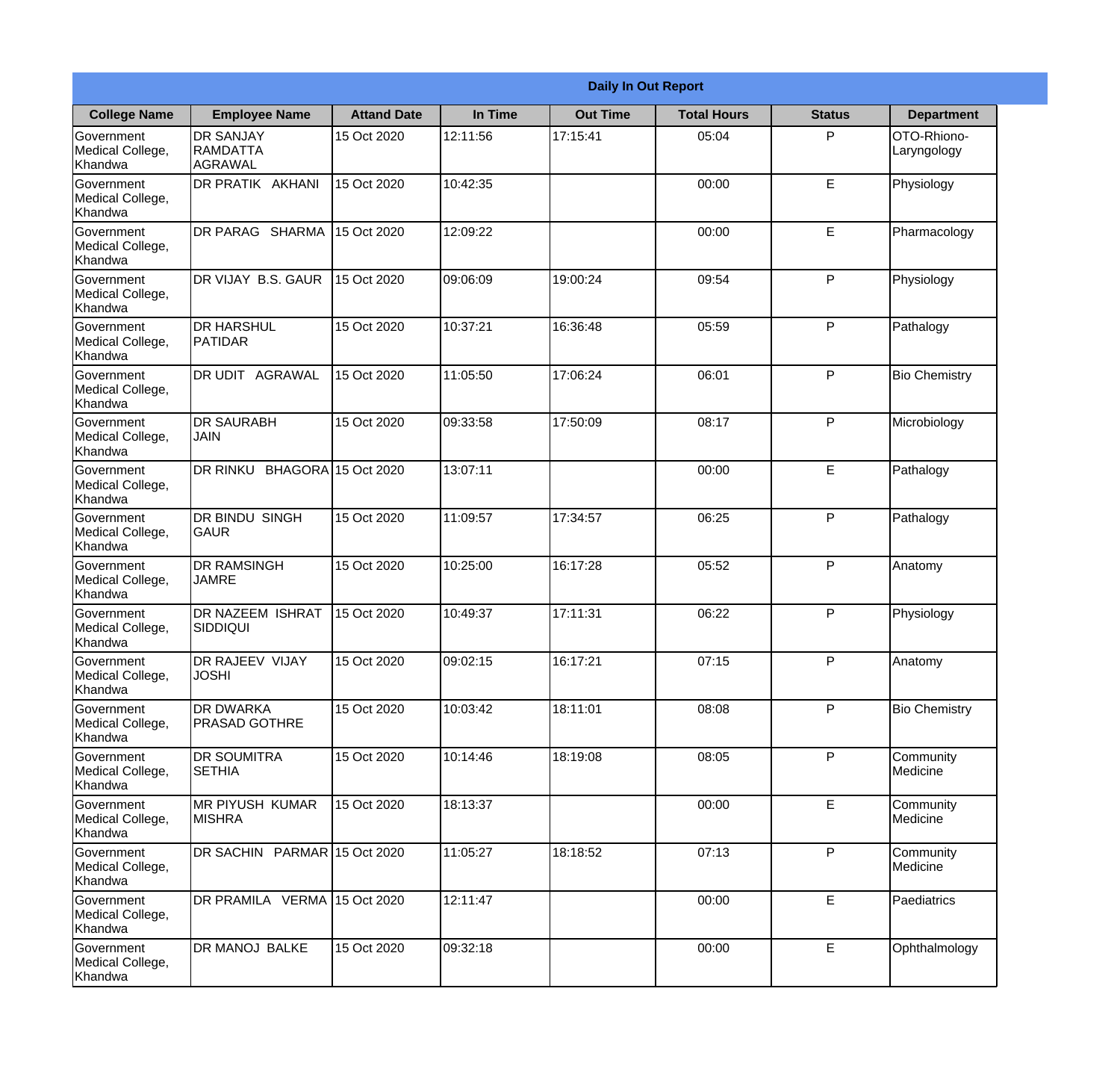|                                                  | <b>Daily In Out Report</b>              |                    |          |                 |                    |               |                            |  |
|--------------------------------------------------|-----------------------------------------|--------------------|----------|-----------------|--------------------|---------------|----------------------------|--|
| <b>College Name</b>                              | <b>Employee Name</b>                    | <b>Attand Date</b> | In Time  | <b>Out Time</b> | <b>Total Hours</b> | <b>Status</b> | <b>Department</b>          |  |
| Government<br>Medical College,<br>Khandwa        | <b>DR SANJAY</b><br>RAMDATTA<br>AGRAWAL | 15 Oct 2020        | 12:11:56 | 17:15:41        | 05:04              | P             | OTO-Rhiono-<br>Laryngology |  |
| Government<br>Medical College,<br>Khandwa        | <b>DR PRATIK AKHANI</b>                 | 15 Oct 2020        | 10:42:35 |                 | 00:00              | E             | Physiology                 |  |
| <b>Government</b><br>Medical College,<br>Khandwa | <b>IDR PARAG SHARMA</b>                 | 15 Oct 2020        | 12:09:22 |                 | 00:00              | E             | Pharmacology               |  |
| Government<br>Medical College,<br>Khandwa        | DR VIJAY B.S. GAUR                      | 15 Oct 2020        | 09:06:09 | 19:00:24        | 09:54              | P             | Physiology                 |  |
| Government<br>Medical College,<br>Khandwa        | <b>DR HARSHUL</b><br>PATIDAR            | 15 Oct 2020        | 10:37:21 | 16:36:48        | 05:59              | P             | Pathalogy                  |  |
| Government<br>Medical College,<br>Khandwa        | <b>DR UDIT AGRAWAL</b>                  | 15 Oct 2020        | 11:05:50 | 17:06:24        | 06:01              | P             | <b>Bio Chemistry</b>       |  |
| Government<br>Medical College,<br>Khandwa        | <b>DR SAURABH</b><br><b>JAIN</b>        | 15 Oct 2020        | 09:33:58 | 17:50:09        | 08:17              | P             | Microbiology               |  |
| Government<br>Medical College,<br>Khandwa        | DR RINKU BHAGORA 15 Oct 2020            |                    | 13:07:11 |                 | 00:00              | E             | Pathalogy                  |  |
| Government<br>Medical College,<br>Khandwa        | <b>DR BINDU SINGH</b><br><b>GAUR</b>    | 15 Oct 2020        | 11:09:57 | 17:34:57        | 06:25              | P             | Pathalogy                  |  |
| Government<br>Medical College,<br>Khandwa        | <b>DR RAMSINGH</b><br><b>JAMRE</b>      | 15 Oct 2020        | 10:25:00 | 16:17:28        | 05:52              | P             | Anatomy                    |  |
| Government<br>Medical College,<br>Khandwa        | <b>IDR NAZEEM ISHRAT</b><br>SIDDIQUI    | 15 Oct 2020        | 10:49:37 | 17:11:31        | 06:22              | $\mathsf{P}$  | Physiology                 |  |
| Government<br>Medical College,<br>Khandwa        | <b>DR RAJEEV VIJAY</b><br><b>JOSHI</b>  | 15 Oct 2020        | 09:02:15 | 16:17:21        | 07:15              | P             | Anatomy                    |  |
| Government<br>Medical College,<br>Khandwa        | DR DWARKA<br><b>PRASAD GOTHRE</b>       | 15 Oct 2020        | 10:03:42 | 18:11:01        | 08:08              | P             | <b>Bio Chemistry</b>       |  |
| Government<br>Medical College,<br>Khandwa        | <b>DR SOUMITRA</b><br><b>SETHIA</b>     | 15 Oct 2020        | 10:14:46 | 18:19:08        | 08:05              | P             | Community<br>Medicine      |  |
| Government<br>Medical College,<br>Khandwa        | <b>MR PIYUSH KUMAR</b><br><b>MISHRA</b> | 15 Oct 2020        | 18:13:37 |                 | 00:00              | E             | Community<br>Medicine      |  |
| Government<br>Medical College,<br>Khandwa        | DR SACHIN PARMAR 15 Oct 2020            |                    | 11:05:27 | 18:18:52        | 07:13              | P             | Community<br>Medicine      |  |
| Government<br>Medical College,<br>Khandwa        | DR PRAMILA VERMA 15 Oct 2020            |                    | 12:11:47 |                 | 00:00              | E             | Paediatrics                |  |
| Government<br>Medical College,<br>Khandwa        | DR MANOJ BALKE                          | 15 Oct 2020        | 09:32:18 |                 | 00:00              | E             | Ophthalmology              |  |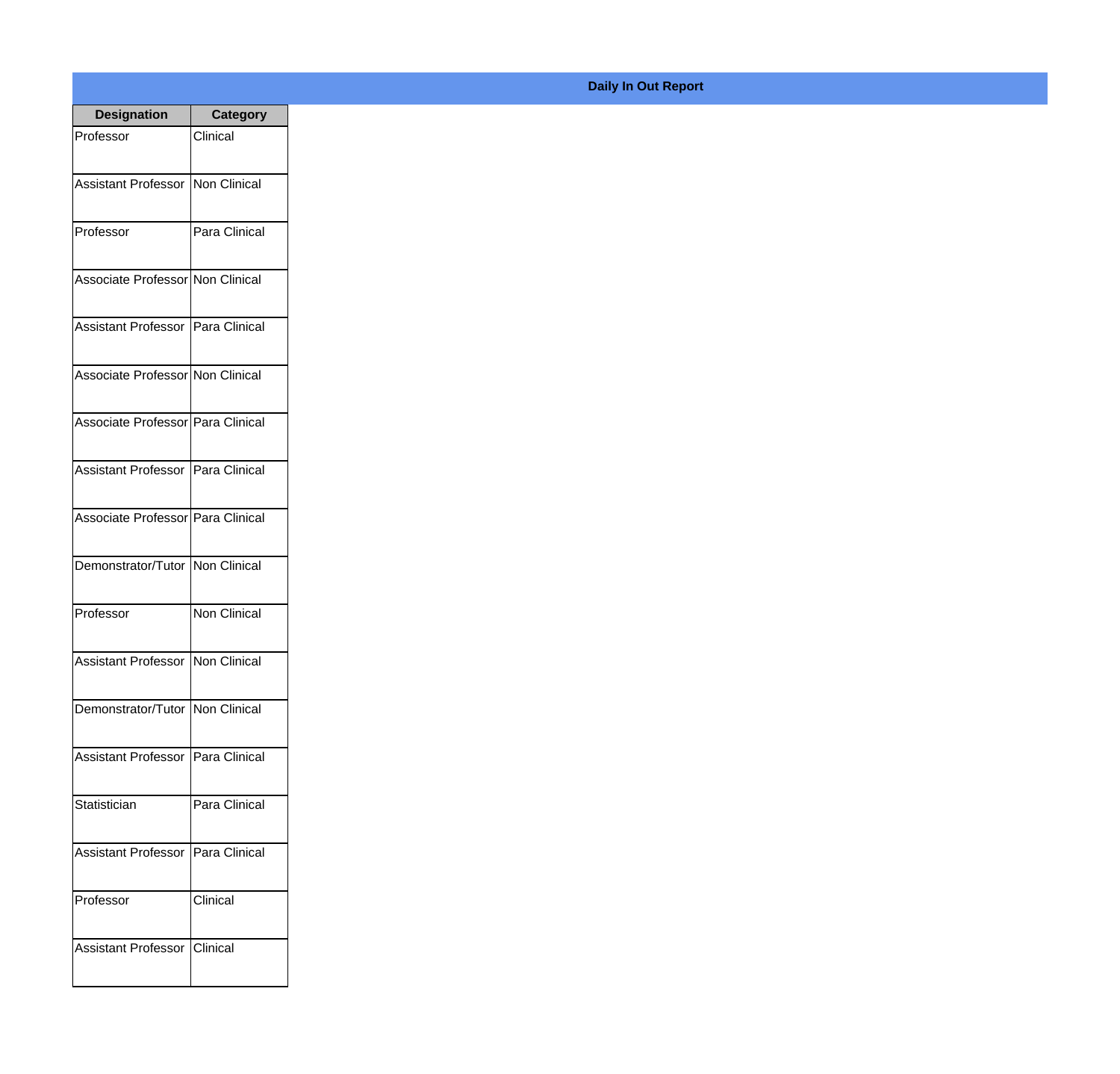| <b>Designation</b>                  | <b>Category</b> |
|-------------------------------------|-----------------|
| Professor                           | Clinical        |
|                                     |                 |
| Assistant Professor Non Clinical    |                 |
| Professor                           | Para Clinical   |
|                                     |                 |
| Associate Professor Non Clinical    |                 |
|                                     |                 |
| Assistant Professor   Para Clinical |                 |
| Associate Professor Non Clinical    |                 |
|                                     |                 |
| Associate Professor Para Clinical   |                 |
|                                     |                 |
| Assistant Professor   Para Clinical |                 |
| Associate Professor Para Clinical   |                 |
|                                     |                 |
| Demonstrator/Tutor Non Clinical     |                 |
|                                     |                 |
| Professor                           | Non Clinical    |
|                                     |                 |
| Assistant Professor Non Clinical    |                 |
| Demonstrator/Tutor Non Clinical     |                 |
|                                     |                 |
| Assistant Professor   Para Clinical |                 |
|                                     |                 |
| Statistician                        | Para Clinical   |
| Assistant Professor   Para Clinical |                 |
|                                     |                 |
| Professor                           | Clinical        |
|                                     |                 |
| Assistant Professor Clinical        |                 |
|                                     |                 |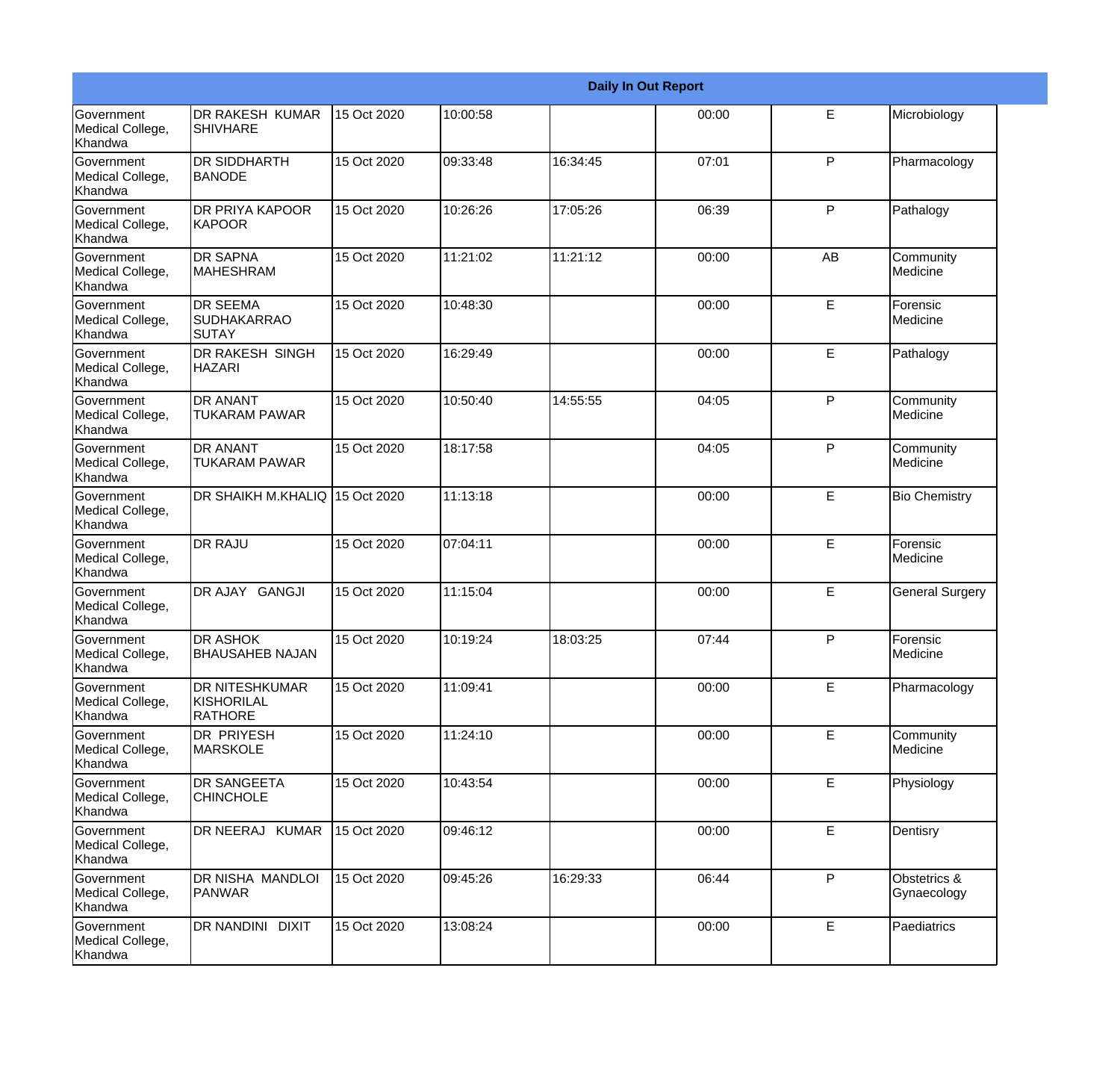|                                                         |                                                       |             |          |          | <b>Daily In Out Report</b> |              |                             |
|---------------------------------------------------------|-------------------------------------------------------|-------------|----------|----------|----------------------------|--------------|-----------------------------|
| <b>Government</b><br>Medical College,<br>Khandwa        | DR RAKESH KUMAR<br><b>SHIVHARE</b>                    | 15 Oct 2020 | 10:00:58 |          | 00:00                      | E            | Microbiology                |
| <b>Government</b><br>Medical College,<br>Khandwa        | DR SIDDHARTH<br><b>BANODE</b>                         | 15 Oct 2020 | 09:33:48 | 16:34:45 | 07:01                      | $\mathsf{P}$ | Pharmacology                |
| Government<br>Medical College,<br>Khandwa               | <b>DR PRIYA KAPOOR</b><br><b>KAPOOR</b>               | 15 Oct 2020 | 10:26:26 | 17:05:26 | 06:39                      | P            | Pathalogy                   |
| Government<br>Medical College,<br>Khandwa               | <b>DR SAPNA</b><br><b>MAHESHRAM</b>                   | 15 Oct 2020 | 11:21:02 | 11:21:12 | 00:00                      | AB           | Community<br>Medicine       |
| <b>Government</b><br>Medical College,<br>Khandwa        | <b>DR SEEMA</b><br><b>SUDHAKARRAO</b><br>SUTAY        | 15 Oct 2020 | 10:48:30 |          | 00:00                      | E            | Forensic<br>Medicine        |
| <b>Government</b><br>Medical College,<br><b>Khandwa</b> | DR RAKESH SINGH<br><b>HAZARI</b>                      | 15 Oct 2020 | 16:29:49 |          | 00:00                      | E            | Pathalogy                   |
| Government<br>Medical College,<br>Khandwa               | <b>DR ANANT</b><br><b>TUKARAM PAWAR</b>               | 15 Oct 2020 | 10:50:40 | 14:55:55 | 04:05                      | P            | Community<br>Medicine       |
| Government<br>Medical College,<br>Khandwa               | <b>DR ANANT</b><br><b>TUKARAM PAWAR</b>               | 15 Oct 2020 | 18:17:58 |          | 04:05                      | P            | Community<br>Medicine       |
| Government<br>Medical College,<br>Khandwa               | DR SHAIKH M.KHALIQ 15 Oct 2020                        |             | 11:13:18 |          | 00:00                      | E            | <b>Bio Chemistry</b>        |
| <b>Government</b><br>Medical College,<br>Khandwa        | <b>DR RAJU</b>                                        | 15 Oct 2020 | 07:04:11 |          | 00:00                      | E            | Forensic<br>Medicine        |
| <b>Government</b><br>Medical College,<br>Khandwa        | DR AJAY GANGJI                                        | 15 Oct 2020 | 11:15:04 |          | 00:00                      | E            | <b>General Surgery</b>      |
| Government<br>Medical College,<br>Khandwa               | <b>DR ASHOK</b><br><b>BHAUSAHEB NAJAN</b>             | 15 Oct 2020 | 10:19:24 | 18:03:25 | 07:44                      | P            | Forensic<br>Medicine        |
| <b>Government</b><br>Medical College,<br>Khandwa        | DR NITESHKUMAR<br><b>KISHORILAL</b><br><b>RATHORE</b> | 15 Oct 2020 | 11:09:41 |          | 00:00                      | E            | Pharmacology                |
| Government<br>Medical College,<br>Khandwa               | DR PRIYESH<br><b>MARSKOLE</b>                         | 15 Oct 2020 | 11:24:10 |          | 00:00                      | E            | Community<br>Medicine       |
| Government<br>Medical College,<br>Khandwa               | DR SANGEETA<br><b>CHINCHOLE</b>                       | 15 Oct 2020 | 10:43:54 |          | 00:00                      | E            | Physiology                  |
| Government<br>Medical College,<br>Khandwa               | DR NEERAJ KUMAR                                       | 15 Oct 2020 | 09:46:12 |          | 00:00                      | E            | Dentisry                    |
| Government<br>Medical College,<br>Khandwa               | DR NISHA MANDLOI<br><b>PANWAR</b>                     | 15 Oct 2020 | 09:45:26 | 16:29:33 | 06:44                      | P            | Obstetrics &<br>Gynaecology |
| Government<br>Medical College,<br>Khandwa               | DR NANDINI DIXIT                                      | 15 Oct 2020 | 13:08:24 |          | 00:00                      | E            | Paediatrics                 |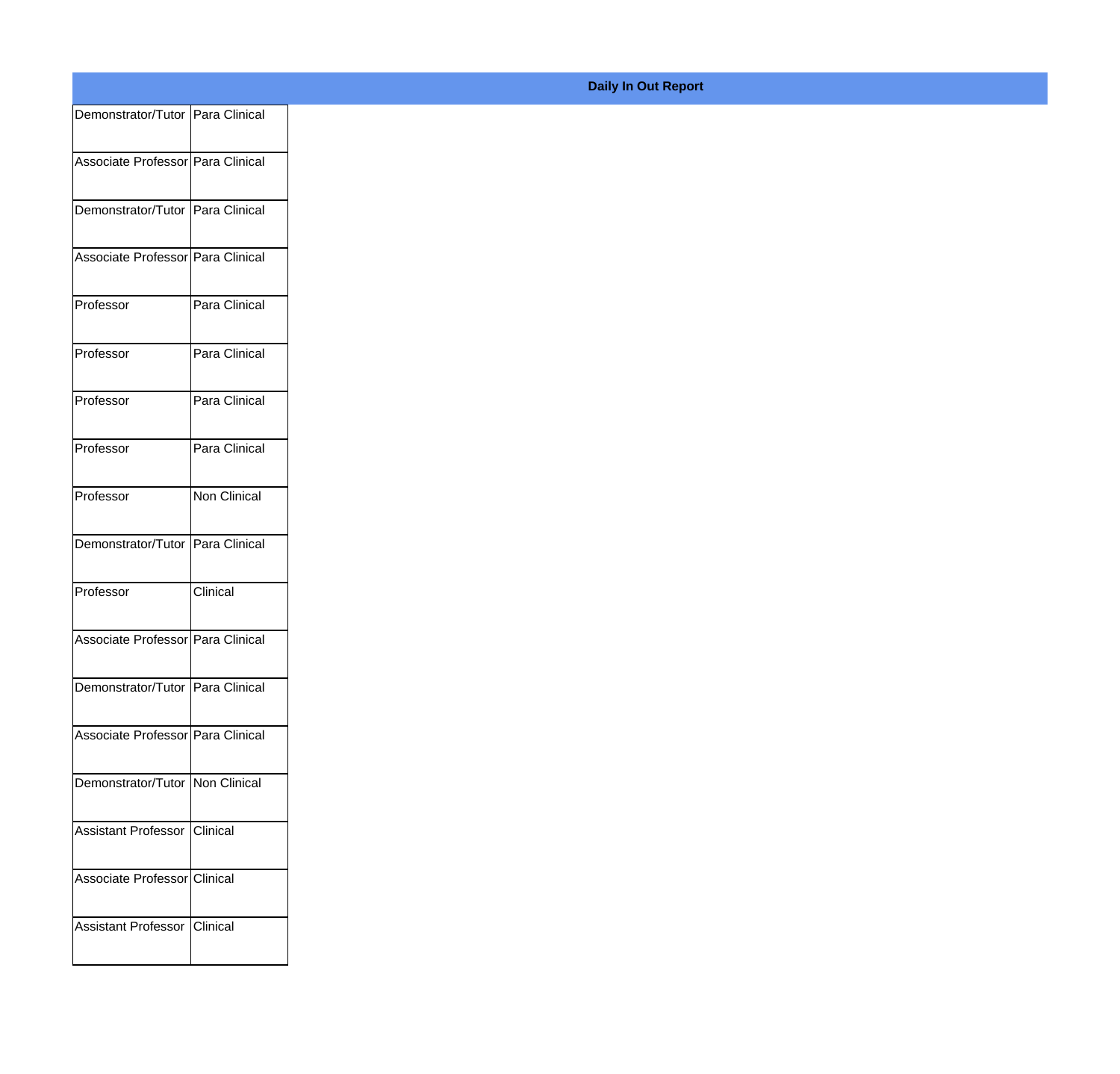| Demonstrator/Tutor   Para Clinical  |                     |  |
|-------------------------------------|---------------------|--|
| Associate Professor   Para Clinical |                     |  |
| Demonstrator/Tutor   Para Clinical  |                     |  |
| Associate Professor   Para Clinical |                     |  |
| Professor                           | Para Clinical       |  |
| Professor                           | Para Clinical       |  |
| Professor                           | Para Clinical       |  |
| Professor                           | Para Clinical       |  |
| Professor                           | <b>Non Clinical</b> |  |
| Demonstrator/Tutor   Para Clinical  |                     |  |
| Professor                           | Clinical            |  |
| Associate Professor   Para Clinical |                     |  |
| Demonstrator/Tutor   Para Clinical  |                     |  |
| Associate Professor   Para Clinical |                     |  |
| Demonstrator/Tutor   Non Clinical   |                     |  |
| Assistant Professor   Clinical      |                     |  |
| Associate Professor Clinical        |                     |  |
| <b>Assistant Professor</b>          | <b>Clinical</b>     |  |

## **Daily In Out Report**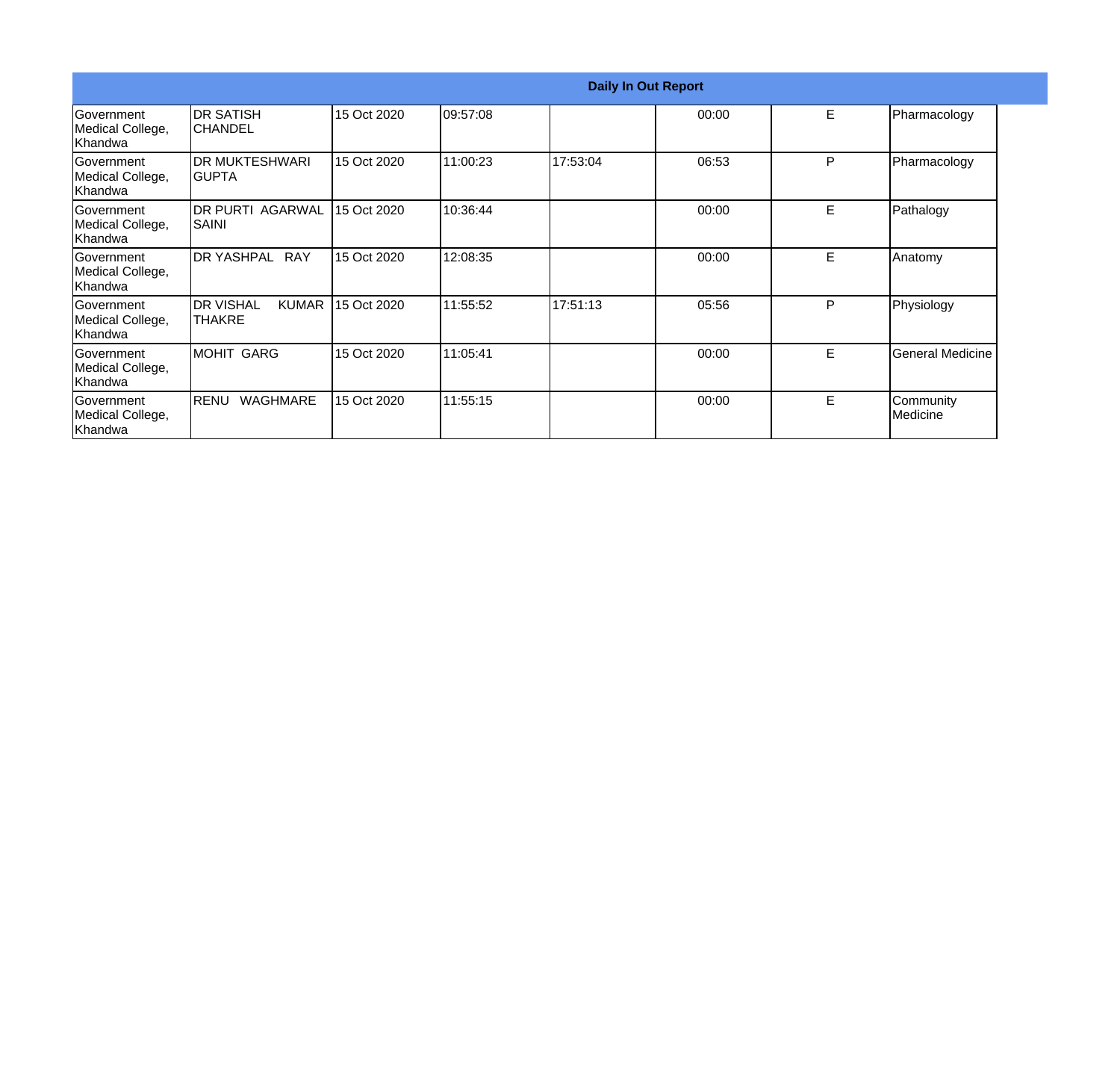|                                                  |                                                    | <b>Daily In Out Report</b> |          |          |       |   |                         |  |
|--------------------------------------------------|----------------------------------------------------|----------------------------|----------|----------|-------|---|-------------------------|--|
| Government<br>Medical College,<br>Khandwa        | <b>DR SATISH</b><br><b>CHANDEL</b>                 | 15 Oct 2020                | 09:57:08 |          | 00:00 | E | Pharmacology            |  |
| <b>Sovernment</b><br>Medical College,<br>Khandwa | <b>DR MUKTESHWARI</b><br>IGUPTA                    | 15 Oct 2020                | 11:00:23 | 17:53:04 | 06:53 | P | Pharmacology            |  |
| Government<br>Medical College,<br>Khandwa        | <b>DR PURTI AGARWAL</b><br>SAINI                   | 15 Oct 2020                | 10:36:44 |          | 00:00 | E | Pathalogy               |  |
| Government<br>Medical College,<br>Khandwa        | <b>DR YASHPAL</b><br><b>RAY</b>                    | 15 Oct 2020                | 12:08:35 |          | 00:00 | E | Anatomy                 |  |
| Government<br>Medical College,<br>Khandwa        | <b>DR VISHAL</b><br><b>KUMAR</b><br><b>ITHAKRE</b> | 15 Oct 2020                | 11:55:52 | 17:51:13 | 05:56 | P | Physiology              |  |
| Government<br>Medical College,<br>Khandwa        | <b>MOHIT GARG</b>                                  | 15 Oct 2020                | 11:05:41 |          | 00:00 | E | <b>General Medicine</b> |  |
| Government<br>Medical College,<br>Khandwa        | RENU<br><b>WAGHMARE</b>                            | 15 Oct 2020                | 11:55:15 |          | 00:00 | E | Community<br>Medicine   |  |